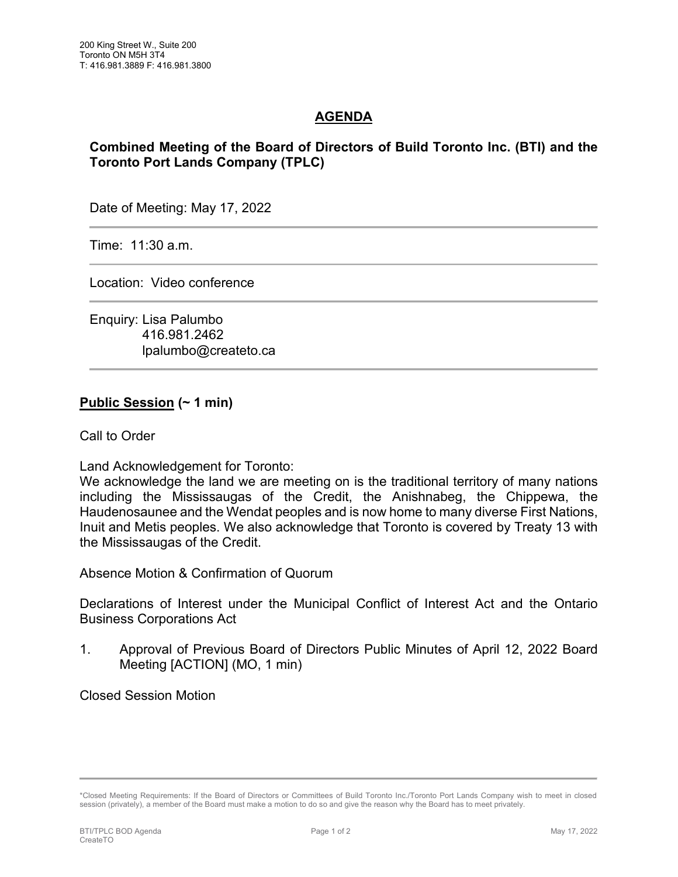## **AGENDA**

## **Combined Meeting of the Board of Directors of Build Toronto Inc. (BTI) and the Toronto Port Lands Company (TPLC)**

Date of Meeting: May 17, 2022

Time: 11:30 a.m.

Location: Video conference

Enquiry: Lisa Palumbo 416.981.2462 lpalumbo@createto.ca

## **Public Session (~ 1 min)**

Call to Order

Land Acknowledgement for Toronto:

We acknowledge the land we are meeting on is the traditional territory of many nations including the Mississaugas of the Credit, the Anishnabeg, the Chippewa, the Haudenosaunee and the Wendat peoples and is now home to many diverse First Nations, Inuit and Metis peoples. We also acknowledge that Toronto is covered by Treaty 13 with the Mississaugas of the Credit.

Absence Motion & Confirmation of Quorum

Declarations of Interest under the Municipal Conflict of Interest Act and the Ontario Business Corporations Act

1. Approval of Previous Board of Directors Public Minutes of April 12, 2022 Board Meeting [ACTION] (MO, 1 min)

Closed Session Motion

<sup>\*</sup>Closed Meeting Requirements: If the Board of Directors or Committees of Build Toronto Inc./Toronto Port Lands Company wish to meet in closed session (privately), a member of the Board must make a motion to do so and give the reason why the Board has to meet privately.